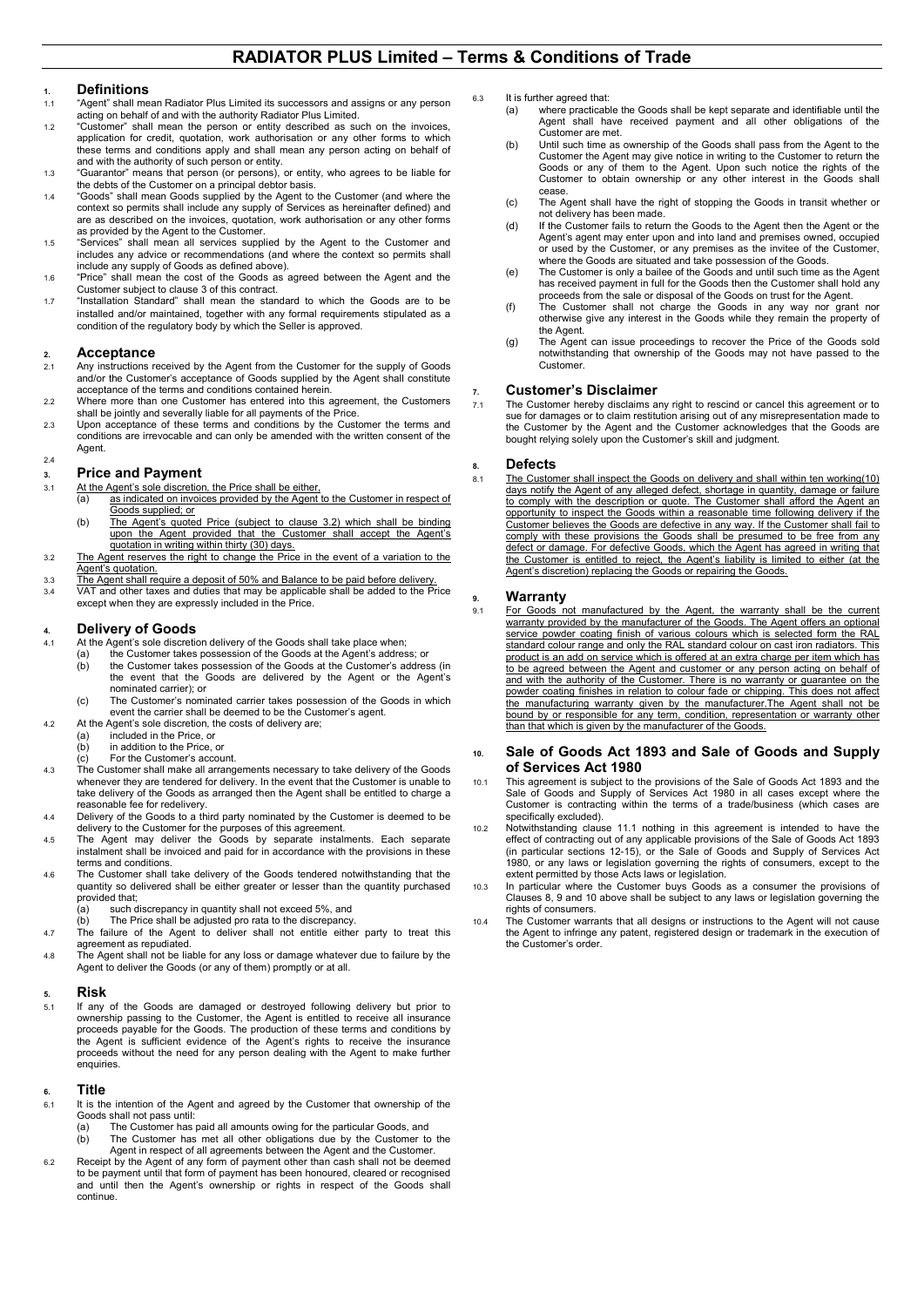#### **RADIATOR PLUS Limited – Terms & Conditions of Trade**

# **1. Definitions**

- "Agent" shall mean Radiator Plus Limited its successors and assigns or any person
- acting on behalf of and with the authority Radiator Plus Limited. 1.2 "Customer" shall mean the person or entity described as such on the invoices, application for credit, quotation, work authorisation or any other forms to which these terms and conditions apply and shall mean any person acting on behalf of and with the authority of such person or entity.
- 1.3 "Guarantor" means that person (or persons), or entity, who agrees to be liable for the debts of the Customer on a principal debtor basis.
- 1.4 "Goods" shall mean Goods supplied by the Agent to the Customer (and where the context so permits shall include any supply of Services as hereinafter defined) and are as described on the invoices, quotation, work authorisation or any other forms as provided by the Agent to the Customer.
- 1.5 "Services" shall mean all services supplied by the Agent to the Customer and includes any advice or recommendations (and where the context so permits shall include any supply of Goods as defined above).
- 1.6 "Price" shall mean the cost of the Goods as agreed between the Agent and the Customer subject to clause 3 of this contract.
- 1.7 "Installation Standard" shall mean the standard to which the Goods are to be installed and/or maintained, together with any formal requirements stipulated as a condition of the regulatory body by which the Seller is approved.

## 2. **Acceptance**<br>2.1 Any instructions r

- Any instructions received by the Agent from the Customer for the supply of Goods and/or the Customer's acceptance of Goods supplied by the Agent shall constitute acceptance of the terms and conditions contained herein.
- 2.2 Where more than one Customer has entered into this agreement, the Customers shall be jointly and severally liable for all payments of the Price.
- 2.3 Upon acceptance of these terms and conditions by the Customer the terms and conditions are irrevocable and can only be amended with the written consent of the Agent.

#### $2.4$

## **3. Price and Payment**<br>**3.1** At the Agent's sole discretion

- At the Agent's sole discretion, the Price shall be either,<br>(a) as indicated on invoices provided by the Agent
- as indicated on invoices provided by the Agent to the Customer in respect of Goods supplied; or
	- (b) The Agent's quoted Price (subject to clause 3.2) which shall be binding upon the Agent provided that the Customer shall accept the Agent's quotation in writing within thirty (30) days.
- 3.2 The Agent reserves the right to change the Price in the event of a variation to the Agent's quotation.
- 3.3 The Agent shall require a deposit of 50% and Balance to be paid before delivery.<br>3.4 VAT and other taxes and duties that may be applicable shall be added to the Pi
- 3.4 VAT and other taxes and duties that may be applicable shall be added to the Price except when they are expressly included in the Price.

### **4. Delivery of Goods**

- At the Agent's sole discretion delivery of the Goods shall take place when;<br>(a) the Customer takes possession of the Goods at the Agent's addres
	- (a) the Customer takes possession of the Goods at the Agent's address; or (b) the Customer takes possession of the Goods at the Customer's addres (b) the Customer takes possession of the Goods at the Customer's address (in the event that the Goods are delivered by the Agent or the Agent's
	- nominated carrier); or (c) The Customer's nominated carrier takes possession of the Goods in which event the carrier shall be deemed to be the Customer's agent.
- 4.2 At the Agent's sole discretion, the costs of delivery are;<br>(a) included in the Price, or
	- (a) included in the Price, or  $(h)$  in addition to the Price
	- in addition to the Price, or
- (c) For the Customer's account.
- 4.3 The Customer shall make all arrangements necessary to take delivery of the Goods whenever they are tendered for delivery. In the event that the Customer is unable to take delivery of the Goods as arranged then the Agent shall be entitled to charge a reasonable fee for redelivery.
- 4.4 Delivery of the Goods to a third party nominated by the Customer is deemed to be delivery to the Customer for the purposes of this agreement. 4.5 The Agent may deliver the Goods by separate instalments. Each separate
- instalment shall be invoiced and paid for in accordance with the provisions in these terms and conditions.
- 4.6 The Customer shall take delivery of the Goods tendered notwithstanding that the quantity so delivered shall be either greater or lesser than the quantity purchased provided that;<br>(a) such of
	- $(a)$  such discrepancy in quantity shall not exceed 5%, and (b) The Price shall be adiusted pro rata to the discrepancy The Price shall be adjusted pro rata to the discrepancy.
- 4.7 The failure of the Agent to deliver shall not entitle either party to treat this agreement as repudiated.
- 4.8 The Agent shall not be liable for any loss or damage whatever due to failure by the Agent to deliver the Goods (or any of them) promptly or at all.

# **5. Risk**

If any of the Goods are damaged or destroyed following delivery but prior to ownership passing to the Customer, the Agent is entitled to receive all insurance proceeds payable for the Goods. The production of these terms and conditions by the Agent is sufficient evidence of the Agent's rights to receive the insurance proceeds without the need for any person dealing with the Agent to make further enquiries.

#### **6. Title**

- 6.1 It is the intention of the Agent and agreed by the Customer that ownership of the Goods shall not pass until:<br>(a) The Customer has
- The Customer has paid all amounts owing for the particular Goods, and (b) The Customer has met all other obligations due by the Customer to the Agent in respect of all agreements between the Agent and the Customer.
- 6.2 Receipt by the Agent of any form of payment other than cash shall not be deemed to be payment until that form of payment has been honoured, cleared or recognised and until then the Agent's ownership or rights in respect of the Goods shall continue.
- 6.3 It is further agreed that:<br>(a) where practicab
	- where practicable the Goods shall be kept separate and identifiable until the Agent shall have received payment and all other obligations of the Customer are met.
	- (b) Until such time as ownership of the Goods shall pass from the Agent to the Customer the Agent may give notice in writing to the Customer to return the Goods or any of them to the Agent. Upon such notice the rights of the Customer to obtain ownership or any other interest in the Goods shall cease.
	- (c) The Agent shall have the right of stopping the Goods in transit whether or not delivery has been made.
	- (d) If the Customer fails to return the Goods to the Agent then the Agent or the Agent's agent may enter upon and into land and premises owned, occupied or used by the Customer, or any premises as the invitee of the Customer, where the Goods are situated and take possession of the Goods.
	- (e) The Customer is only a bailee of the Goods and until such time as the Agent has received payment in full for the Goods then the Customer shall hold any proceeds from the sale or disposal of the Goods on trust for the Agent.
	- (f) The Customer shall not charge the Goods in any way nor grant nor otherwise give any interest in the Goods while they remain the property of the Agent.
	- (g) The Agent can issue proceedings to recover the Price of the Goods sold notwithstanding that ownership of the Goods may not have passed to the Customer.

### **7. Customer's Disclaimer**

The Customer hereby disclaims any right to rescind or cancel this agreement or to sue for damages or to claim restitution arising out of any misrepresentation made to the Customer by the Agent and the Customer acknowledges that the Goods are bought relying solely upon the Customer's skill and judgment.

# **8. Defects**

The Customer shall inspect the Goods on delivery and shall within ten working(10) days notify the Agent of any alleged defect, shortage in quantity, damage or failure to comply with the description or quote. The Customer shall afford the Agent an opportunity to inspect the Goods within a reasonable time following delivery if the Customer believes the Goods are defective in any way. If the Customer shall fail to comply with these provisions the Goods shall be presumed to be free from any defect or damage. For defective Goods, which the Agent has agreed in writing that the Customer is entitled to reject, the Agent's liability is limited to either (at the Agent's discretion) replacing the Goods or repairing the Goods.

## **9. Warranty**

9.1 For Goods not manufactured by the Agent, the warranty shall be the current warranty provided by the manufacturer of the Goods. The Agent offers an optional service powder coating finish of various colours which is selected form the RAL standard colour range and only the RAL standard colour on cast iron radiators. This product is an add on service which is offered at an extra charge per item which has to be agreed between the Agent and customer or any person acting on behalf of and with the authority of the Customer. There is no warranty or guarantee on the powder coating finishes in relation to colour fade or chipping. This does not affect the manufacturing warranty given by the manufacturer.The Agent shall not be bound by or responsible for any term, condition, representation or warranty other than that which is given by the manufacturer of the Goods.

#### **10. Sale of Goods Act 1893 and Sale of Goods and Supply of Services Act 1980**

- 10.1 This agreement is subject to the provisions of the Sale of Goods Act 1893 and the Sale of Goods and Supply of Services Act 1980 in all cases except where the Customer is contracting within the terms of a trade/business (which cases are specifically excluded).
- 10.2 Notwithstanding clause 11.1 nothing in this agreement is intended to have the effect of contracting out of any applicable provisions of the Sale of Goods Act 1893 (in particular sections 12-15), or the Sale of Goods and Supply of Services Act 1980, or any laws or legislation governing the rights of consumers, except to the extent permitted by those Acts laws or legislation.
- 10.3 In particular where the Customer buys Goods as a consumer the provisions of Clauses 8, 9 and 10 above shall be subject to any laws or legislation governing the rights of consumers.
- 10.4 The Customer warrants that all designs or instructions to the Agent will not cause the Agent to infringe any patent, registered design or trademark in the execution of the Customer's order.